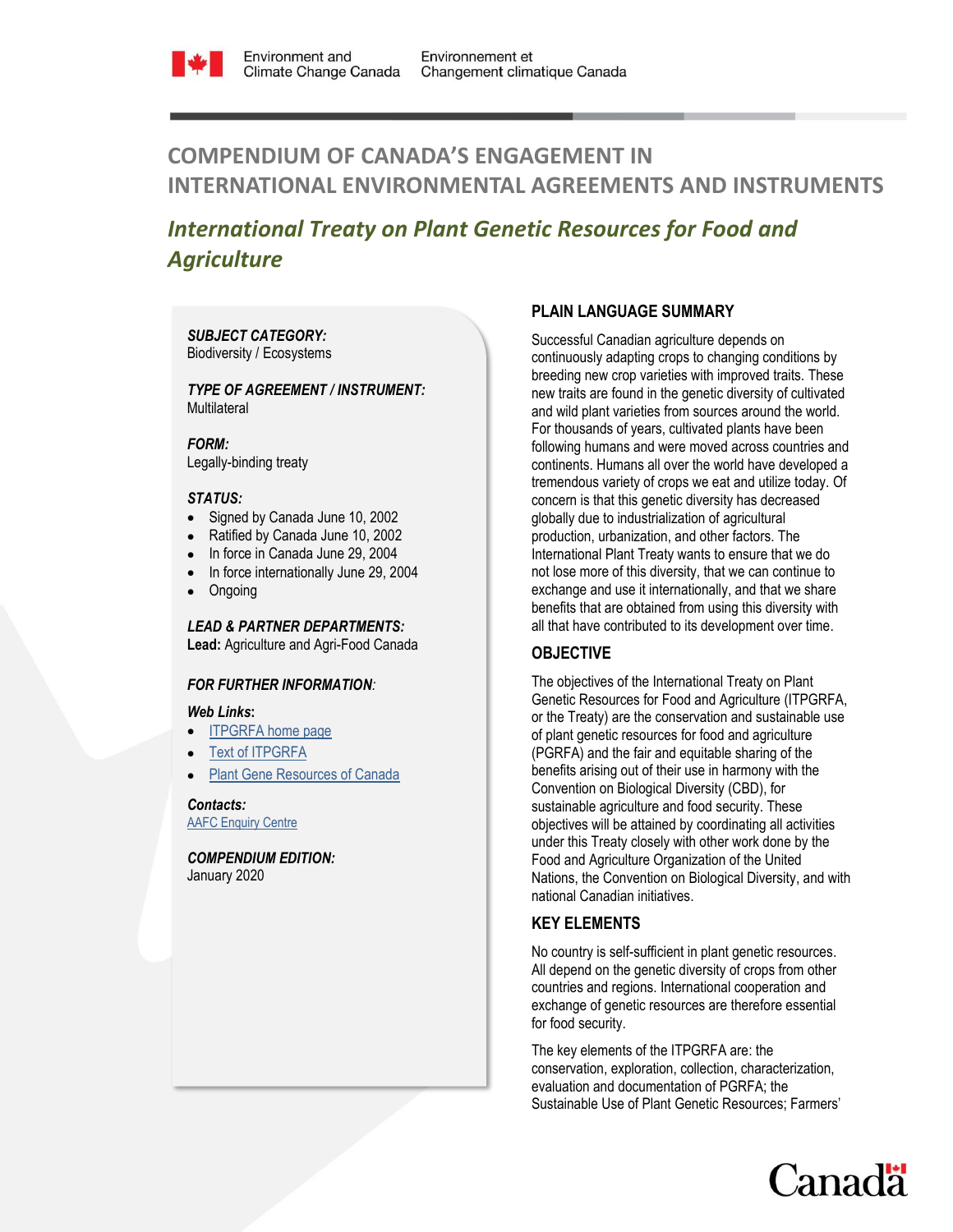

# **COMPENDIUM OF CANADA'S ENGAGEMENT IN INTERNATIONAL ENVIRONMENTAL AGREEMENTS AND INSTRUMENTS**

## *International Treaty on Plant Genetic Resources for Food and Agriculture*

## *SUBJECT CATEGORY:*  Biodiversity / Ecosystems

## *TYPE OF AGREEMENT / INSTRUMENT:*  **Multilateral**

*FORM:* Legally-binding treaty

## *STATUS:*

- Signed by Canada June 10, 2002
- Ratified by Canada June 10, 2002
- In force in Canada June 29, 2004
- In force internationally June 29, 2004
- **Ongoing**

*LEAD & PARTNER DEPARTMENTS:*  **Lead:** Agriculture and Agri-Food Canada

## *FOR FURTHER INFORMATION:*

## *Web Links***:**

- [ITPGRFA home page](http://www.planttreaty.org/)
- [Text of ITPGRFA](http://www.fao.org/plant-treaty/overview/texts-treaty/en/)
- [Plant Gene Resources of Canada](http://pgrc3.agr.gc.ca/index_e.html)

*Contacts:* [AAFC Enquiry Centre](http://www.agr.gc.ca/eng/contact-us/?id=1360882573376)

*COMPENDIUM EDITION:*  January 2020

## **PLAIN LANGUAGE SUMMARY**

Successful Canadian agriculture depends on continuously adapting crops to changing conditions by breeding new crop varieties with improved traits. These new traits are found in the genetic diversity of cultivated and wild plant varieties from sources around the world. For thousands of years, cultivated plants have been following humans and were moved across countries and continents. Humans all over the world have developed a tremendous variety of crops we eat and utilize today. Of concern is that this genetic diversity has decreased globally due to industrialization of agricultural production, urbanization, and other factors. The International Plant Treaty wants to ensure that we do not lose more of this diversity, that we can continue to exchange and use it internationally, and that we share benefits that are obtained from using this diversity with all that have contributed to its development over time.

## **OBJECTIVE**

The objectives of the International Treaty on Plant Genetic Resources for Food and Agriculture (ITPGRFA, or the Treaty) are the conservation and sustainable use of plant genetic resources for food and agriculture (PGRFA) and the fair and equitable sharing of the benefits arising out of their use in harmony with the Convention on Biological Diversity (CBD), for sustainable agriculture and food security. These objectives will be attained by coordinating all activities under this Treaty closely with other work done by the Food and Agriculture Organization of the United Nations, the Convention on Biological Diversity, and with national Canadian initiatives.

## **KEY ELEMENTS**

No country is self-sufficient in plant genetic resources. All depend on the genetic diversity of crops from other countries and regions. International cooperation and exchange of genetic resources are therefore essential for food security.

The key elements of the ITPGRFA are: the conservation, exploration, collection, characterization, evaluation and documentation of PGRFA; the Sustainable Use of Plant Genetic Resources; Farmers'

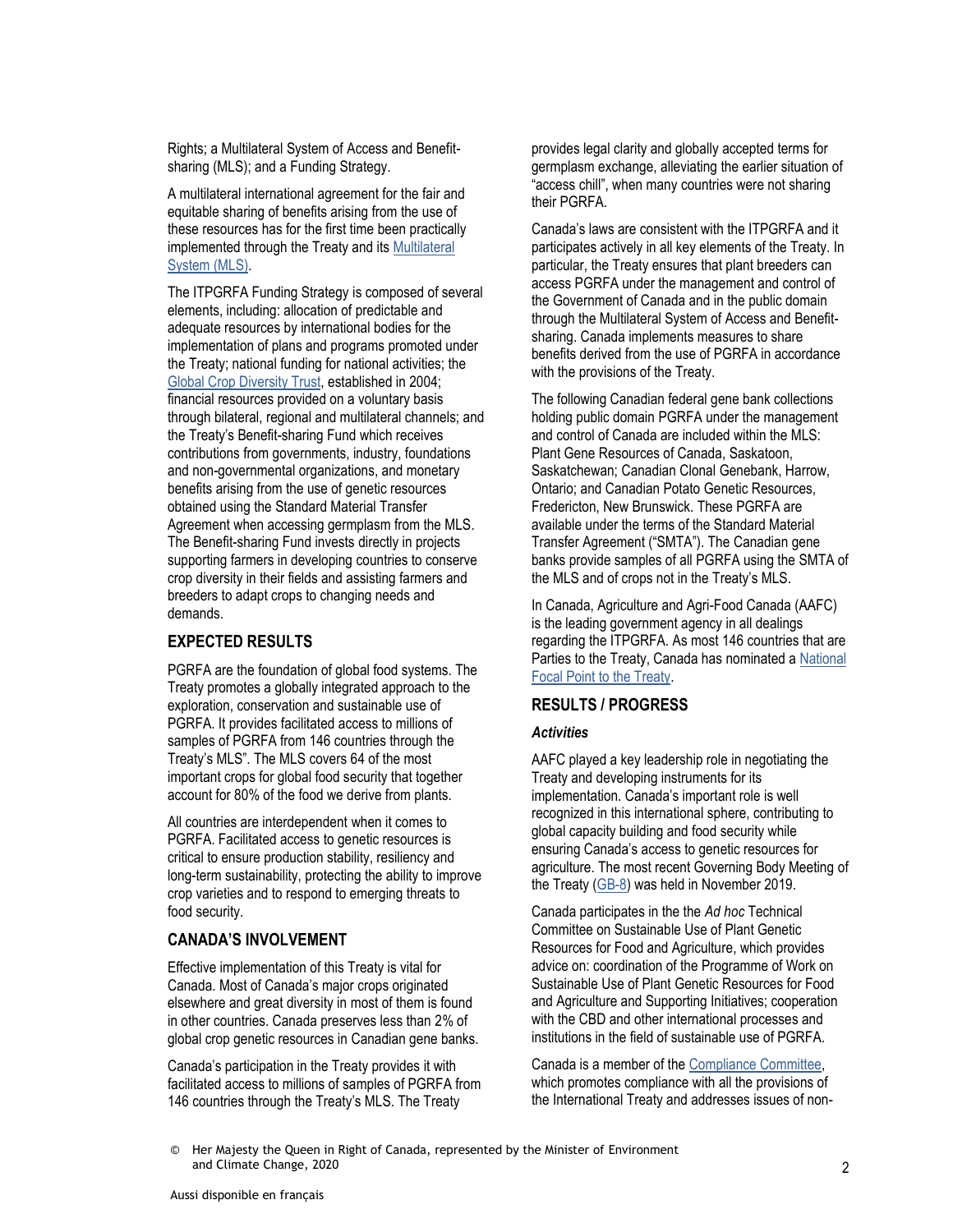Rights; a Multilateral System of Access and Benefitsharing (MLS); and a Funding Strategy.

A multilateral international agreement for the fair and equitable sharing of benefits arising from the use of these resources has for the first time been practically implemented through the Treaty and it[s Multilateral](http://www.fao.org/plant-treaty/areas-of-work/the-multilateral-system/overview/en/)  [System \(MLS\).](http://www.fao.org/plant-treaty/areas-of-work/the-multilateral-system/overview/en/)

The ITPGRFA Funding Strategy is composed of several elements, including: allocation of predictable and adequate resources by international bodies for the implementation of plans and programs promoted under the Treaty; national funding for national activities; the [Global Crop Diversity Trust,](https://www.croptrust.org/) established in 2004; financial resources provided on a voluntary basis through bilateral, regional and multilateral channels; and the Treaty's Benefit-sharing Fund which receives contributions from governments, industry, foundations and non-governmental organizations, and monetary benefits arising from the use of genetic resources obtained using the Standard Material Transfer Agreement when accessing germplasm from the MLS. The Benefit-sharing Fund invests directly in projects supporting farmers in developing countries to conserve crop diversity in their fields and assisting farmers and breeders to adapt crops to changing needs and demands.

## **EXPECTED RESULTS**

PGRFA are the foundation of global food systems. The Treaty promotes a globally integrated approach to the exploration, conservation and sustainable use of PGRFA. It provides facilitated access to millions of samples of PGRFA from 146 countries through the Treaty's MLS". The MLS covers 64 of the most important crops for global food security that together account for 80% of the food we derive from plants.

All countries are interdependent when it comes to PGRFA. Facilitated access to genetic resources is critical to ensure production stability, resiliency and long-term sustainability, protecting the ability to improve crop varieties and to respond to emerging threats to food security.

## **CANADA'S INVOLVEMENT**

Effective implementation of this Treaty is vital for Canada. Most of Canada's major crops originated elsewhere and great diversity in most of them is found in other countries. Canada preserves less than 2% of global crop genetic resources in Canadian gene banks.

Canada's participation in the Treaty provides it with facilitated access to millions of samples of PGRFA from 146 countries through the Treaty's MLS. The Treaty

provides legal clarity and globally accepted terms for germplasm exchange, alleviating the earlier situation of "access chill", when many countries were not sharing their PGRFA.

Canada's laws are consistent with the ITPGRFA and it participates actively in all key elements of the Treaty. In particular, the Treaty ensures that plant breeders can access PGRFA under the management and control of the Government of Canada and in the public domain through the Multilateral System of Access and Benefitsharing. Canada implements measures to share benefits derived from the use of PGRFA in accordance with the provisions of the Treaty.

The following Canadian federal gene bank collections holding public domain PGRFA under the management and control of Canada are included within the MLS: Plant Gene Resources of Canada, Saskatoon, Saskatchewan; Canadian Clonal Genebank, Harrow, Ontario; and Canadian Potato Genetic Resources, Fredericton, New Brunswick. These PGRFA are available under the terms of the Standard Material Transfer Agreement ("SMTA"). The Canadian gene banks provide samples of all PGRFA using the SMTA of the MLS and of crops not in the Treaty's MLS.

In Canada, Agriculture and Agri-Food Canada (AAFC) is the leading government agency in all dealings regarding the ITPGRFA. As most 146 countries that are Parties to the Treaty, Canada has nominated a [National](http://www.fao.org/plant-treaty/countries/national-focal-points/en/)  [Focal Point to the Treaty.](http://www.fao.org/plant-treaty/countries/national-focal-points/en/)

## **RESULTS / PROGRESS**

## *Activities*

AAFC played a key leadership role in negotiating the Treaty and developing instruments for its implementation. Canada's important role is well recognized in this international sphere, contributing to global capacity building and food security while ensuring Canada's access to genetic resources for agriculture. The most recent Governing Body Meeting of the Treaty [\(GB-8\)](http://www.fao.org/plant-treaty/meetings/meetings-detail/en/c/1111365/) was held in November 2019.

Canada participates in the the *Ad hoc* Technical Committee on Sustainable Use of Plant Genetic Resources for Food and Agriculture, which provides advice on: coordination of the Programme of Work on Sustainable Use of Plant Genetic Resources for Food and Agriculture and Supporting Initiatives; cooperation with the CBD and other international processes and institutions in the field of sustainable use of PGRFA.

Canada is a member of the [Compliance Committee,](http://www.fao.org/plant-treaty/areas-of-work/compliance/en/) which promotes compliance with all the provisions of the International Treaty and addresses issues of non-

<sup>©</sup> Her Majesty the Queen in Right of Canada, represented by the Minister of Environment and Climate Change, 2020